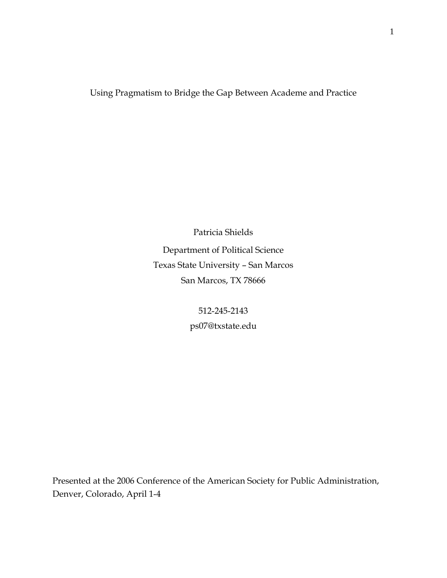## Using Pragmatism to Bridge the Gap Between Academe and Practice

Patricia Shields Department of Political Science Texas State University – San Marcos San Marcos, TX 78666

> 512-245-2143 ps07@txstate.edu

Presented at the 2006 Conference of the American Society for Public Administration, Denver, Colorado, April 1-4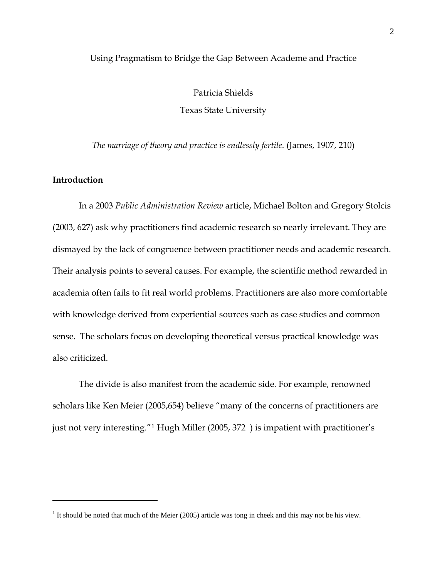#### Using Pragmatism to Bridge the Gap Between Academe and Practice

Patricia Shields Texas State University

*The marriage of theory and practice is endlessly fertile.* (James, 1907, 210)

## **Introduction**

 $\overline{a}$ 

In a 2003 *Public Administration Review* article, Michael Bolton and Gregory Stolcis (2003, 627) ask why practitioners find academic research so nearly irrelevant. They are dismayed by the lack of congruence between practitioner needs and academic research. Their analysis points to several causes. For example, the scientific method rewarded in academia often fails to fit real world problems. Practitioners are also more comfortable with knowledge derived from experiential sources such as case studies and common sense. The scholars focus on developing theoretical versus practical knowledge was also criticized.

The divide is also manifest from the academic side. For example, renowned scholars like Ken Meier (2005,654) believe "many of the concerns of practitioners are just not very interesting."[1](#page-1-0) Hugh Miller (2005, 372 ) is impatient with practitioner's

<span id="page-1-0"></span><sup>&</sup>lt;sup>1</sup> It should be noted that much of the Meier (2005) article was tong in cheek and this may not be his view.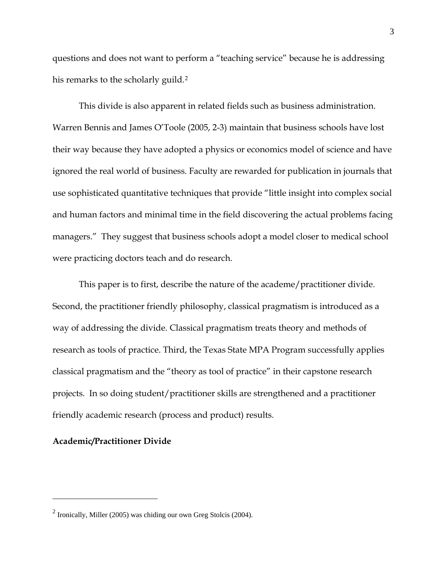questions and does not want to perform a "teaching service" because he is addressing his remarks to the scholarly guild.<sup>[2](#page-2-0)</sup>

This divide is also apparent in related fields such as business administration. Warren Bennis and James O'Toole (2005, 2-3) maintain that business schools have lost their way because they have adopted a physics or economics model of science and have ignored the real world of business. Faculty are rewarded for publication in journals that use sophisticated quantitative techniques that provide "little insight into complex social and human factors and minimal time in the field discovering the actual problems facing managers." They suggest that business schools adopt a model closer to medical school were practicing doctors teach and do research.

This paper is to first, describe the nature of the academe/practitioner divide. Second, the practitioner friendly philosophy, classical pragmatism is introduced as a way of addressing the divide. Classical pragmatism treats theory and methods of research as tools of practice. Third, the Texas State MPA Program successfully applies classical pragmatism and the "theory as tool of practice" in their capstone research projects. In so doing student/practitioner skills are strengthened and a practitioner friendly academic research (process and product) results.

## **Academic/Practitioner Divide**

<span id="page-2-0"></span> $2$  Ironically, Miller (2005) was chiding our own Greg Stolcis (2004).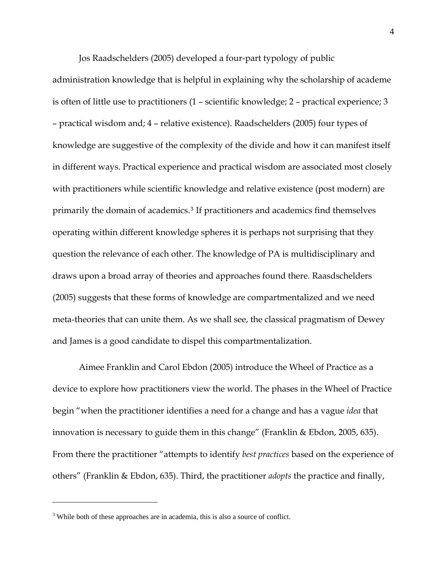Jos Raadschelders (2005) developed a four-part typology of public

administration knowledge that is helpful in explaining why the scholarship of academe is often of little use to practitioners (1 – scientific knowledge; 2 – practical experience; 3 – practical wisdom and; 4 – relative existence). Raadschelders (2005) four types of knowledge are suggestive of the complexity of the divide and how it can manifest itself in different ways. Practical experience and practical wisdom are associated most closely with practitioners while scientific knowledge and relative existence (post modern) are primarily the domain of academics.[3](#page-3-0) If practitioners and academics find themselves operating within different knowledge spheres it is perhaps not surprising that they question the relevance of each other. The knowledge of PA is multidisciplinary and draws upon a broad array of theories and approaches found there. Raasdschelders (2005) suggests that these forms of knowledge are compartmentalized and we need meta-theories that can unite them. As we shall see, the classical pragmatism of Dewey and James is a good candidate to dispel this compartmentalization.

Aimee Franklin and Carol Ebdon (2005) introduce the Wheel of Practice as a device to explore how practitioners view the world. The phases in the Wheel of Practice begin "when the practitioner identifies a need for a change and has a vague *idea* that innovation is necessary to guide them in this change" (Franklin & Ebdon, 2005, 635). From there the practitioner "attempts to identify *best practices* based on the experience of others" (Franklin & Ebdon, 635). Third, the practitioner *adopts* the practice and finally,

<span id="page-3-0"></span><sup>&</sup>lt;sup>3</sup> While both of these approaches are in academia, this is also a source of conflict.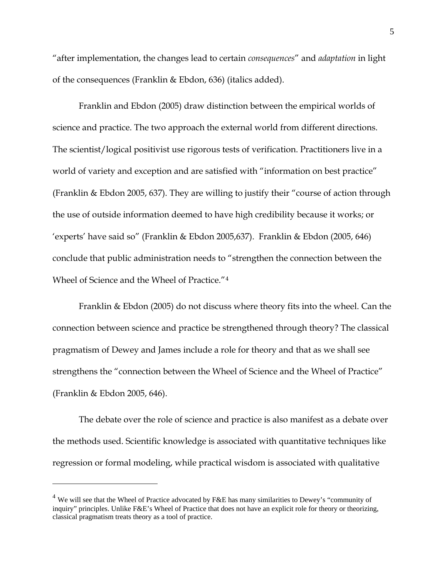"after implementation, the changes lead to certain *consequences*" and *adaptation* in light of the consequences (Franklin & Ebdon, 636) (italics added).

Franklin and Ebdon (2005) draw distinction between the empirical worlds of science and practice. The two approach the external world from different directions. The scientist/logical positivist use rigorous tests of verification. Practitioners live in a world of variety and exception and are satisfied with "information on best practice" (Franklin & Ebdon 2005, 637). They are willing to justify their "course of action through the use of outside information deemed to have high credibility because it works; or 'experts' have said so" (Franklin & Ebdon 2005,637). Franklin & Ebdon (2005, 646) conclude that public administration needs to "strengthen the connection between the Wheel of Science and the Wheel of Practice."[4](#page-4-0)

Franklin & Ebdon (2005) do not discuss where theory fits into the wheel. Can the connection between science and practice be strengthened through theory? The classical pragmatism of Dewey and James include a role for theory and that as we shall see strengthens the "connection between the Wheel of Science and the Wheel of Practice" (Franklin & Ebdon 2005, 646).

The debate over the role of science and practice is also manifest as a debate over the methods used. Scientific knowledge is associated with quantitative techniques like regression or formal modeling, while practical wisdom is associated with qualitative

<span id="page-4-0"></span><sup>4</sup> We will see that the Wheel of Practice advocated by F&E has many similarities to Dewey's "community of inquiry" principles. Unlike F&E's Wheel of Practice that does not have an explicit role for theory or theorizing, classical pragmatism treats theory as a tool of practice.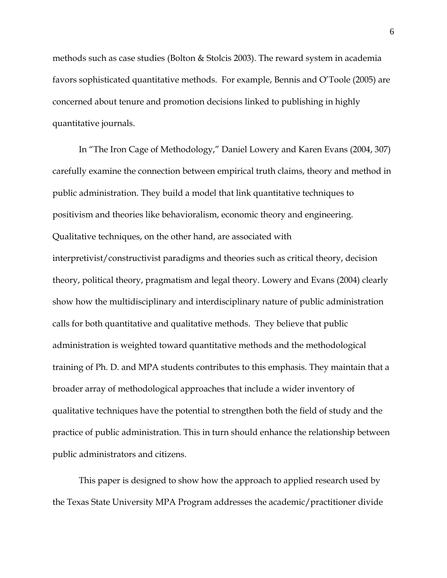methods such as case studies (Bolton & Stolcis 2003). The reward system in academia favors sophisticated quantitative methods. For example, Bennis and O'Toole (2005) are concerned about tenure and promotion decisions linked to publishing in highly quantitative journals.

In "The Iron Cage of Methodology," Daniel Lowery and Karen Evans (2004, 307) carefully examine the connection between empirical truth claims, theory and method in public administration. They build a model that link quantitative techniques to positivism and theories like behavioralism, economic theory and engineering. Qualitative techniques, on the other hand, are associated with interpretivist/constructivist paradigms and theories such as critical theory, decision theory, political theory, pragmatism and legal theory. Lowery and Evans (2004) clearly show how the multidisciplinary and interdisciplinary nature of public administration calls for both quantitative and qualitative methods. They believe that public administration is weighted toward quantitative methods and the methodological training of Ph. D. and MPA students contributes to this emphasis. They maintain that a broader array of methodological approaches that include a wider inventory of qualitative techniques have the potential to strengthen both the field of study and the practice of public administration. This in turn should enhance the relationship between public administrators and citizens.

This paper is designed to show how the approach to applied research used by the Texas State University MPA Program addresses the academic/practitioner divide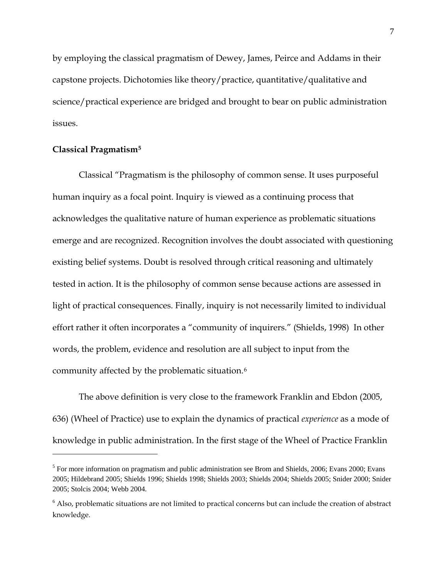by employing the classical pragmatism of Dewey, James, Peirce and Addams in their capstone projects. Dichotomies like theory/practice, quantitative/qualitative and science/practical experience are bridged and brought to bear on public administration issues.

## **Classical Pragmatis[m5](#page-6-0)**

 $\overline{a}$ 

Classical "Pragmatism is the philosophy of common sense. It uses purposeful human inquiry as a focal point. Inquiry is viewed as a continuing process that acknowledges the qualitative nature of human experience as problematic situations emerge and are recognized. Recognition involves the doubt associated with questioning existing belief systems. Doubt is resolved through critical reasoning and ultimately tested in action. It is the philosophy of common sense because actions are assessed in light of practical consequences. Finally, inquiry is not necessarily limited to individual effort rather it often incorporates a "community of inquirers." (Shields, 1998) In other words, the problem, evidence and resolution are all subject to input from the community affected by the problematic situation.[6](#page-6-1)

The above definition is very close to the framework Franklin and Ebdon (2005, 636) (Wheel of Practice) use to explain the dynamics of practical *experience* as a mode of knowledge in public administration. In the first stage of the Wheel of Practice Franklin

<span id="page-6-0"></span><sup>&</sup>lt;sup>5</sup> For more information on pragmatism and public administration see Brom and Shields, 2006; Evans 2000; Evans 2005; Hildebrand 2005; Shields 1996; Shields 1998; Shields 2003; Shields 2004; Shields 2005; Snider 2000; Snider 2005; Stolcis 2004; Webb 2004.

<span id="page-6-1"></span><sup>6</sup> Also, problematic situations are not limited to practical concerns but can include the creation of abstract knowledge.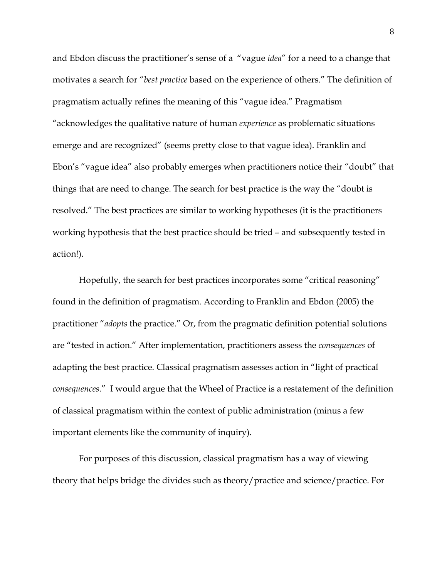and Ebdon discuss the practitioner's sense of a "vague *idea*" for a need to a change that motivates a search for "*best practice* based on the experience of others." The definition of pragmatism actually refines the meaning of this "vague idea." Pragmatism "acknowledges the qualitative nature of human *experience* as problematic situations emerge and are recognized" (seems pretty close to that vague idea). Franklin and Ebon's "vague idea" also probably emerges when practitioners notice their "doubt" that things that are need to change. The search for best practice is the way the "doubt is resolved." The best practices are similar to working hypotheses (it is the practitioners working hypothesis that the best practice should be tried – and subsequently tested in action!).

Hopefully, the search for best practices incorporates some "critical reasoning" found in the definition of pragmatism. According to Franklin and Ebdon (2005) the practitioner "*adopts* the practice." Or, from the pragmatic definition potential solutions are "tested in action." After implementation, practitioners assess the *consequences* of adapting the best practice. Classical pragmatism assesses action in "light of practical *consequences*." I would argue that the Wheel of Practice is a restatement of the definition of classical pragmatism within the context of public administration (minus a few important elements like the community of inquiry).

For purposes of this discussion, classical pragmatism has a way of viewing theory that helps bridge the divides such as theory/practice and science/practice. For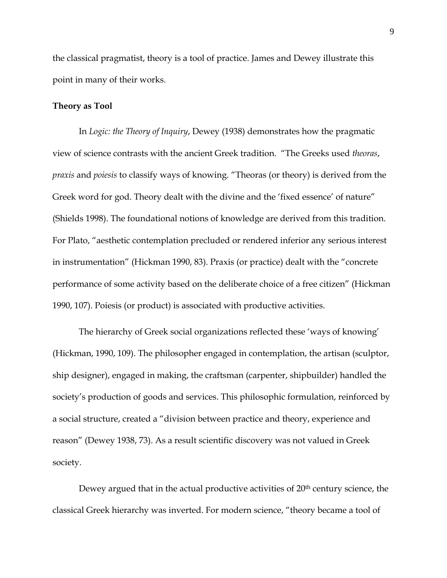the classical pragmatist, theory is a tool of practice. James and Dewey illustrate this point in many of their works.

## **Theory as Tool**

In *Logic: the Theory of Inquiry*, Dewey (1938) demonstrates how the pragmatic view of science contrasts with the ancient Greek tradition. "The Greeks used *theoras*, *praxis* and *poiesis* to classify ways of knowing. "Theoras (or theory) is derived from the Greek word for god. Theory dealt with the divine and the 'fixed essence' of nature" (Shields 1998). The foundational notions of knowledge are derived from this tradition. For Plato, "aesthetic contemplation precluded or rendered inferior any serious interest in instrumentation" (Hickman 1990, 83). Praxis (or practice) dealt with the "concrete performance of some activity based on the deliberate choice of a free citizen" (Hickman 1990, 107). Poiesis (or product) is associated with productive activities.

The hierarchy of Greek social organizations reflected these 'ways of knowing' (Hickman, 1990, 109). The philosopher engaged in contemplation, the artisan (sculptor, ship designer), engaged in making, the craftsman (carpenter, shipbuilder) handled the society's production of goods and services. This philosophic formulation, reinforced by a social structure, created a "division between practice and theory, experience and reason" (Dewey 1938, 73). As a result scientific discovery was not valued in Greek society.

Dewey argued that in the actual productive activities of 20<sup>th</sup> century science, the classical Greek hierarchy was inverted. For modern science, "theory became a tool of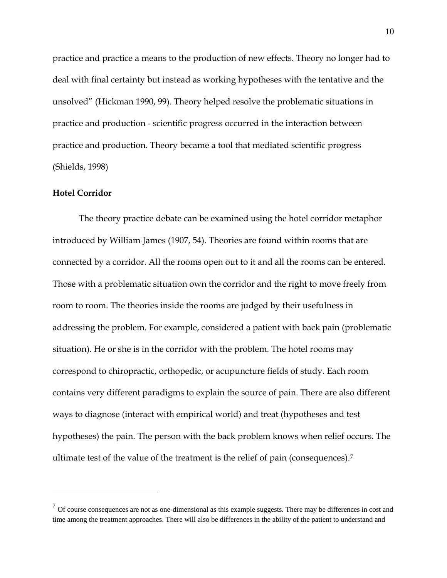practice and practice a means to the production of new effects. Theory no longer had to deal with final certainty but instead as working hypotheses with the tentative and the unsolved" (Hickman 1990, 99). Theory helped resolve the problematic situations in practice and production - scientific progress occurred in the interaction between practice and production. Theory became a tool that mediated scientific progress (Shields, 1998)

## **Hotel Corridor**

 $\overline{a}$ 

The theory practice debate can be examined using the hotel corridor metaphor introduced by William James (1907, 54). Theories are found within rooms that are connected by a corridor. All the rooms open out to it and all the rooms can be entered. Those with a problematic situation own the corridor and the right to move freely from room to room. The theories inside the rooms are judged by their usefulness in addressing the problem. For example, considered a patient with back pain (problematic situation). He or she is in the corridor with the problem. The hotel rooms may correspond to chiropractic, orthopedic, or acupuncture fields of study. Each room contains very different paradigms to explain the source of pain. There are also different ways to diagnose (interact with empirical world) and treat (hypotheses and test hypotheses) the pain. The person with the back problem knows when relief occurs. The ultimate test of the value of the treatment is the relief of pain (consequences).[7](#page-9-0)

<span id="page-9-0"></span> $<sup>7</sup>$  Of course consequences are not as one-dimensional as this example suggests. There may be differences in cost and</sup> time among the treatment approaches. There will also be differences in the ability of the patient to understand and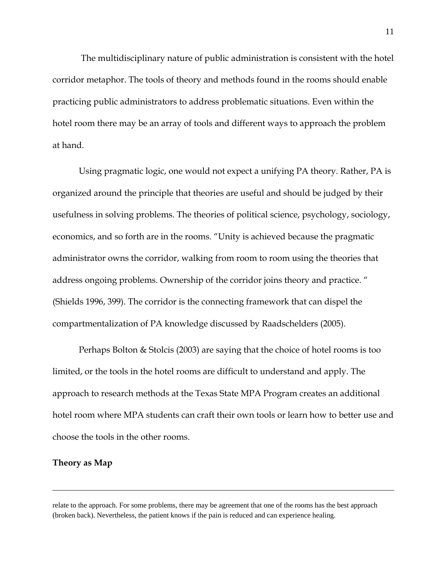The multidisciplinary nature of public administration is consistent with the hotel corridor metaphor. The tools of theory and methods found in the rooms should enable practicing public administrators to address problematic situations. Even within the hotel room there may be an array of tools and different ways to approach the problem at hand.

Using pragmatic logic, one would not expect a unifying PA theory. Rather, PA is organized around the principle that theories are useful and should be judged by their usefulness in solving problems. The theories of political science, psychology, sociology, economics, and so forth are in the rooms. "Unity is achieved because the pragmatic administrator owns the corridor, walking from room to room using the theories that address ongoing problems. Ownership of the corridor joins theory and practice. " (Shields 1996, 399). The corridor is the connecting framework that can dispel the compartmentalization of PA knowledge discussed by Raadschelders (2005).

Perhaps Bolton & Stolcis (2003) are saying that the choice of hotel rooms is too limited, or the tools in the hotel rooms are difficult to understand and apply. The approach to research methods at the Texas State MPA Program creates an additional hotel room where MPA students can craft their own tools or learn how to better use and choose the tools in the other rooms.

## **Theory as Map**

 $\overline{a}$ 

relate to the approach. For some problems, there may be agreement that one of the rooms has the best approach (broken back). Nevertheless, the patient knows if the pain is reduced and can experience healing.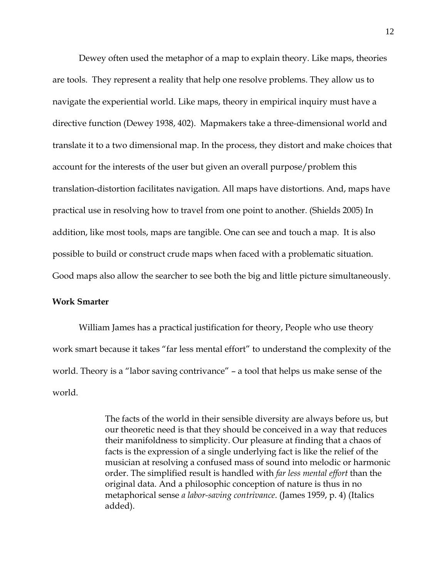Dewey often used the metaphor of a map to explain theory. Like maps, theories are tools. They represent a reality that help one resolve problems. They allow us to navigate the experiential world. Like maps, theory in empirical inquiry must have a directive function (Dewey 1938, 402). Mapmakers take a three-dimensional world and translate it to a two dimensional map. In the process, they distort and make choices that account for the interests of the user but given an overall purpose/problem this translation-distortion facilitates navigation. All maps have distortions. And, maps have practical use in resolving how to travel from one point to another. (Shields 2005) In addition, like most tools, maps are tangible. One can see and touch a map. It is also possible to build or construct crude maps when faced with a problematic situation. Good maps also allow the searcher to see both the big and little picture simultaneously.

## **Work Smarter**

William James has a practical justification for theory, People who use theory work smart because it takes "far less mental effort" to understand the complexity of the world. Theory is a "labor saving contrivance" – a tool that helps us make sense of the world.

> The facts of the world in their sensible diversity are always before us, but our theoretic need is that they should be conceived in a way that reduces their manifoldness to simplicity. Our pleasure at finding that a chaos of facts is the expression of a single underlying fact is like the relief of the musician at resolving a confused mass of sound into melodic or harmonic order. The simplified result is handled with *far less mental effort* than the original data. And a philosophic conception of nature is thus in no metaphorical sense *a labor-saving contrivance*. (James 1959, p. 4) (Italics added).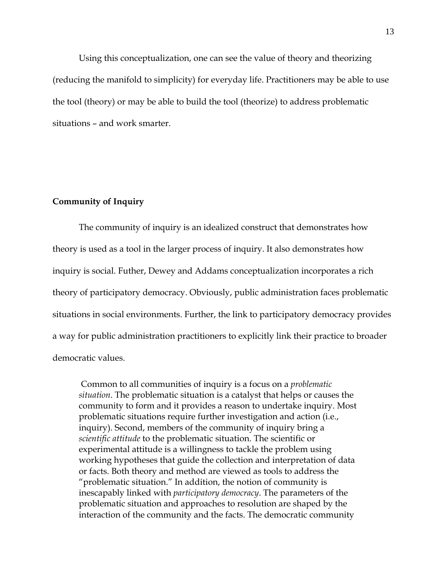Using this conceptualization, one can see the value of theory and theorizing (reducing the manifold to simplicity) for everyday life. Practitioners may be able to use the tool (theory) or may be able to build the tool (theorize) to address problematic situations – and work smarter.

## **Community of Inquiry**

The community of inquiry is an idealized construct that demonstrates how theory is used as a tool in the larger process of inquiry. It also demonstrates how inquiry is social. Futher, Dewey and Addams conceptualization incorporates a rich theory of participatory democracy. Obviously, public administration faces problematic situations in social environments. Further, the link to participatory democracy provides a way for public administration practitioners to explicitly link their practice to broader democratic values.

 Common to all communities of inquiry is a focus on a *problematic situation*. The problematic situation is a catalyst that helps or causes the community to form and it provides a reason to undertake inquiry. Most problematic situations require further investigation and action (i.e., inquiry). Second, members of the community of inquiry bring a *scientific attitude* to the problematic situation. The scientific or experimental attitude is a willingness to tackle the problem using working hypotheses that guide the collection and interpretation of data or facts. Both theory and method are viewed as tools to address the "problematic situation." In addition, the notion of community is inescapably linked with *participatory democracy*. The parameters of the problematic situation and approaches to resolution are shaped by the interaction of the community and the facts. The democratic community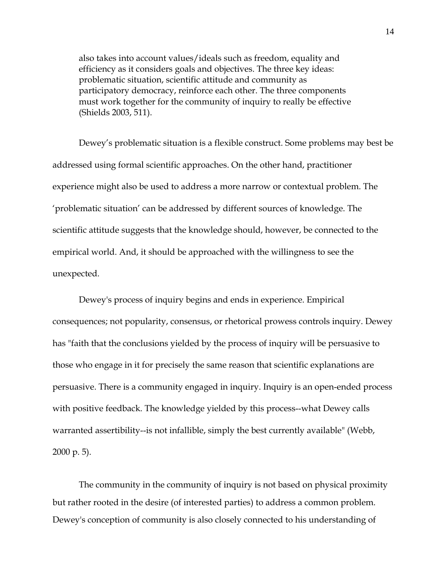also takes into account values/ideals such as freedom, equality and efficiency as it considers goals and objectives. The three key ideas: problematic situation, scientific attitude and community as participatory democracy, reinforce each other. The three components must work together for the community of inquiry to really be effective (Shields 2003, 511).

Dewey's problematic situation is a flexible construct. Some problems may best be addressed using formal scientific approaches. On the other hand, practitioner experience might also be used to address a more narrow or contextual problem. The 'problematic situation' can be addressed by different sources of knowledge. The scientific attitude suggests that the knowledge should, however, be connected to the empirical world. And, it should be approached with the willingness to see the unexpected.

Dewey's process of inquiry begins and ends in experience. Empirical consequences; not popularity, consensus, or rhetorical prowess controls inquiry. Dewey has "faith that the conclusions yielded by the process of inquiry will be persuasive to those who engage in it for precisely the same reason that scientific explanations are persuasive. There is a community engaged in inquiry. Inquiry is an open-ended process with positive feedback. The knowledge yielded by this process--what Dewey calls warranted assertibility--is not infallible, simply the best currently available" (Webb, 2000 p. 5).

The community in the community of inquiry is not based on physical proximity but rather rooted in the desire (of interested parties) to address a common problem. Dewey's conception of community is also closely connected to his understanding of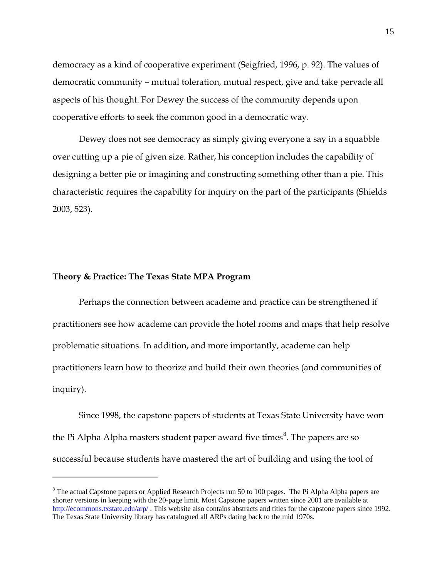democracy as a kind of cooperative experiment (Seigfried, 1996, p. 92). The values of democratic community – mutual toleration, mutual respect, give and take pervade all aspects of his thought. For Dewey the success of the community depends upon cooperative efforts to seek the common good in a democratic way.

 Dewey does not see democracy as simply giving everyone a say in a squabble over cutting up a pie of given size. Rather, his conception includes the capability of designing a better pie or imagining and constructing something other than a pie. This characteristic requires the capability for inquiry on the part of the participants (Shields 2003, 523).

## **Theory & Practice: The Texas State MPA Program**

 $\overline{a}$ 

Perhaps the connection between academe and practice can be strengthened if practitioners see how academe can provide the hotel rooms and maps that help resolve problematic situations. In addition, and more importantly, academe can help practitioners learn how to theorize and build their own theories (and communities of inquiry).

Since 1998, the capstone papers of students at Texas State University have won the Pi Alpha Alpha masters student paper award five times $^8$  $^8$ . The papers are so successful because students have mastered the art of building and using the tool of

<span id="page-14-0"></span> $8$  The actual Capstone papers or Applied Research Projects run 50 to 100 pages. The Pi Alpha Alpha papers are shorter versions in keeping with the 20-page limit. Most Capstone papers written since 2001 are available at <http://ecommons.txstate.edu/arp/> . This website also contains abstracts and titles for the capstone papers since 1992. The Texas State University library has catalogued all ARPs dating back to the mid 1970s.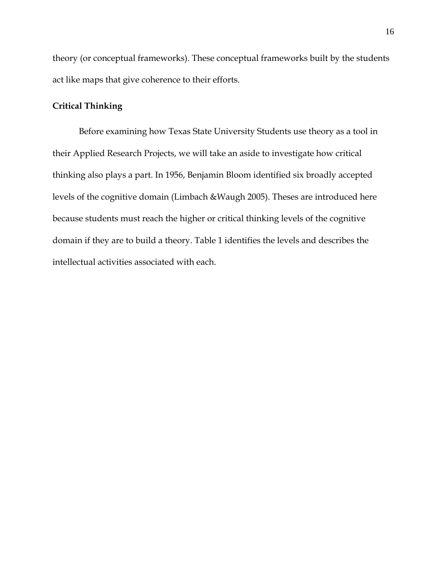theory (or conceptual frameworks). These conceptual frameworks built by the students act like maps that give coherence to their efforts.

## **Critical Thinking**

Before examining how Texas State University Students use theory as a tool in their Applied Research Projects, we will take an aside to investigate how critical thinking also plays a part. In 1956, Benjamin Bloom identified six broadly accepted levels of the cognitive domain (Limbach &Waugh 2005). Theses are introduced here because students must reach the higher or critical thinking levels of the cognitive domain if they are to build a theory. Table 1 identifies the levels and describes the intellectual activities associated with each.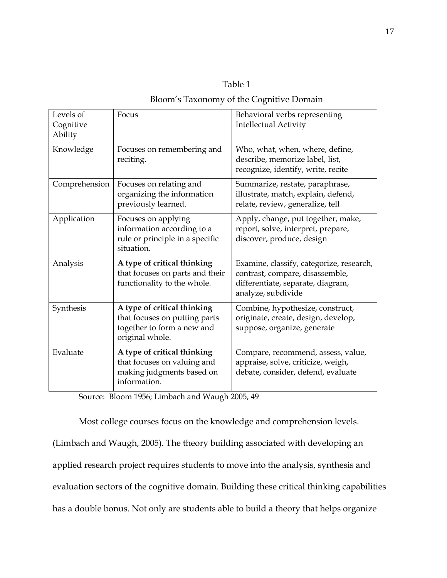| apı |  |
|-----|--|

## Bloom's Taxonomy of the Cognitive Domain

| Levels of<br>Cognitive<br>Ability | Focus                                                                                                         | Behavioral verbs representing<br><b>Intellectual Activity</b>                                                                          |
|-----------------------------------|---------------------------------------------------------------------------------------------------------------|----------------------------------------------------------------------------------------------------------------------------------------|
| Knowledge                         | Focuses on remembering and<br>reciting.                                                                       | Who, what, when, where, define,<br>describe, memorize label, list,<br>recognize, identify, write, recite                               |
| Comprehension                     | Focuses on relating and<br>organizing the information<br>previously learned.                                  | Summarize, restate, paraphrase,<br>illustrate, match, explain, defend,<br>relate, review, generalize, tell                             |
| Application                       | Focuses on applying<br>information according to a<br>rule or principle in a specific<br>situation.            | Apply, change, put together, make,<br>report, solve, interpret, prepare,<br>discover, produce, design                                  |
| Analysis                          | A type of critical thinking<br>that focuses on parts and their<br>functionality to the whole.                 | Examine, classify, categorize, research,<br>contrast, compare, disassemble,<br>differentiate, separate, diagram,<br>analyze, subdivide |
| Synthesis                         | A type of critical thinking<br>that focuses on putting parts<br>together to form a new and<br>original whole. | Combine, hypothesize, construct,<br>originate, create, design, develop,<br>suppose, organize, generate                                 |
| Evaluate                          | A type of critical thinking<br>that focuses on valuing and<br>making judgments based on<br>information.       | Compare, recommend, assess, value,<br>appraise, solve, criticize, weigh,<br>debate, consider, defend, evaluate                         |

Source: Bloom 1956; Limbach and Waugh 2005, 49

Most college courses focus on the knowledge and comprehension levels. (Limbach and Waugh, 2005). The theory building associated with developing an applied research project requires students to move into the analysis, synthesis and evaluation sectors of the cognitive domain. Building these critical thinking capabilities has a double bonus. Not only are students able to build a theory that helps organize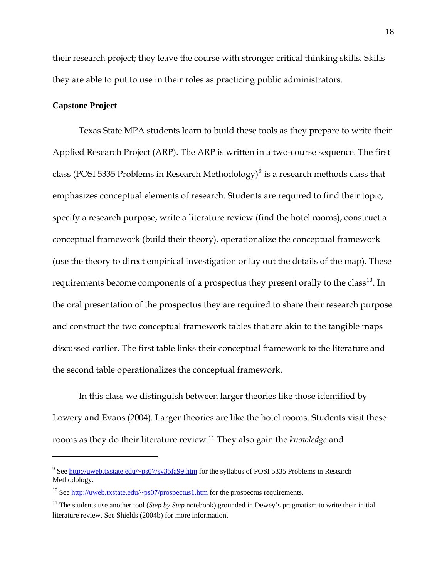their research project; they leave the course with stronger critical thinking skills. Skills they are able to put to use in their roles as practicing public administrators.

## **Capstone Project**

 $\overline{a}$ 

Texas State MPA students learn to build these tools as they prepare to write their Applied Research Project (ARP). The ARP is written in a two-course sequence. The first class (POSI 5335 Problems in Research Methodology) $^9$  $^9$  is a research methods class that emphasizes conceptual elements of research. Students are required to find their topic, specify a research purpose, write a literature review (find the hotel rooms), construct a conceptual framework (build their theory), operationalize the conceptual framework (use the theory to direct empirical investigation or lay out the details of the map). These requirements become components of a prospectus they present orally to the class<sup>[10](#page-17-1)</sup>. In the oral presentation of the prospectus they are required to share their research purpose and construct the two conceptual framework tables that are akin to the tangible maps discussed earlier. The first table links their conceptual framework to the literature and the second table operationalizes the conceptual framework.

In this class we distinguish between larger theories like those identified by Lowery and Evans (2004). Larger theories are like the hotel rooms. Students visit these rooms as they do their literature review.[11](#page-17-2) They also gain the *knowledge* and

<span id="page-17-0"></span><sup>&</sup>lt;sup>9</sup> See [http://uweb.txstate.edu/~ps07/sy35fa99.htm](http://uweb.txstate.edu/%7Eps07/sy35fa99.htm) for the syllabus of POSI 5335 Problems in Research Methodology.

<span id="page-17-1"></span><sup>&</sup>lt;sup>10</sup> See [http://uweb.txstate.edu/~ps07/prospectus1.htm](http://uweb.txstate.edu/%7Eps07/prospectus1.htm) for the prospectus requirements.

<span id="page-17-2"></span><sup>&</sup>lt;sup>11</sup> The students use another tool (*Step by Step* notebook) grounded in Dewey's pragmatism to write their initial literature review. See Shields (2004b) for more information.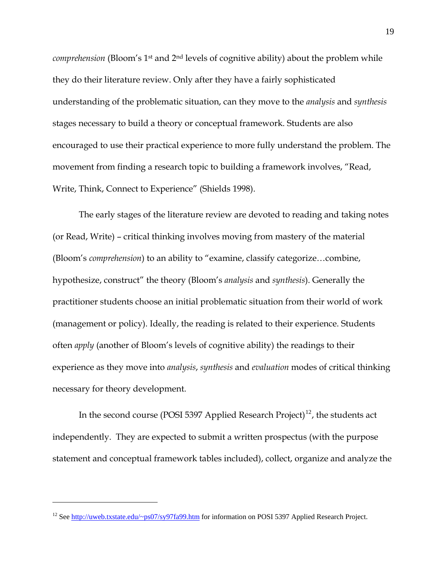*comprehension* (Bloom's 1<sup>st</sup> and 2<sup>nd</sup> levels of cognitive ability) about the problem while they do their literature review. Only after they have a fairly sophisticated understanding of the problematic situation, can they move to the *analysis* and *synthesis* stages necessary to build a theory or conceptual framework. Students are also encouraged to use their practical experience to more fully understand the problem. The movement from finding a research topic to building a framework involves, "Read, Write, Think, Connect to Experience" (Shields 1998).

The early stages of the literature review are devoted to reading and taking notes (or Read, Write) – critical thinking involves moving from mastery of the material (Bloom's *comprehension*) to an ability to "examine, classify categorize…combine, hypothesize, construct" the theory (Bloom's *analysis* and *synthesis*). Generally the practitioner students choose an initial problematic situation from their world of work (management or policy). Ideally, the reading is related to their experience. Students often *apply* (another of Bloom's levels of cognitive ability) the readings to their experience as they move into *analysis*, *synthesis* and *evaluation* modes of critical thinking necessary for theory development.

In the second course (POSI 5397 Applied Research Project)<sup>[12](#page-18-0)</sup>, the students act independently. They are expected to submit a written prospectus (with the purpose statement and conceptual framework tables included), collect, organize and analyze the

<span id="page-18-0"></span><sup>&</sup>lt;sup>12</sup> See [http://uweb.txstate.edu/~ps07/sy97fa99.htm](http://uweb.txstate.edu/%7Eps07/sy97fa99.htm) for information on POSI 5397 Applied Research Project.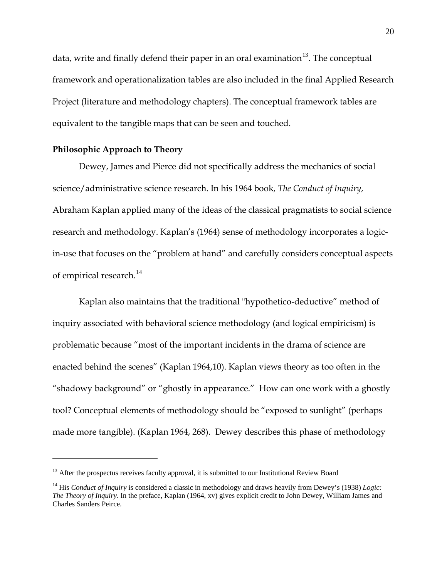data, write and finally defend their paper in an oral examination $13$ . The conceptual framework and operationalization tables are also included in the final Applied Research Project (literature and methodology chapters). The conceptual framework tables are equivalent to the tangible maps that can be seen and touched.

## **Philosophic Approach to Theory**

 $\overline{a}$ 

 Dewey, James and Pierce did not specifically address the mechanics of social science/administrative science research. In his 1964 book, *The Conduct of Inquiry*, Abraham Kaplan applied many of the ideas of the classical pragmatists to social science research and methodology. Kaplan's (1964) sense of methodology incorporates a logicin-use that focuses on the "problem at hand" and carefully considers conceptual aspects of empirical research. $^{14}$  $^{14}$  $^{14}$ 

 Kaplan also maintains that the traditional "hypothetico-deductive" method of inquiry associated with behavioral science methodology (and logical empiricism) is problematic because "most of the important incidents in the drama of science are enacted behind the scenes" (Kaplan 1964,10). Kaplan views theory as too often in the "shadowy background" or "ghostly in appearance." How can one work with a ghostly tool? Conceptual elements of methodology should be "exposed to sunlight" (perhaps made more tangible). (Kaplan 1964, 268). Dewey describes this phase of methodology

<span id="page-19-0"></span> $13$  After the prospectus receives faculty approval, it is submitted to our Institutional Review Board

<span id="page-19-1"></span><sup>&</sup>lt;sup>14</sup> His *Conduct of Inquiry* is considered a classic in methodology and draws heavily from Dewey's (1938) *Logic*: *The Theory of Inquiry*. In the preface, Kaplan (1964, xv) gives explicit credit to John Dewey, William James and Charles Sanders Peirce.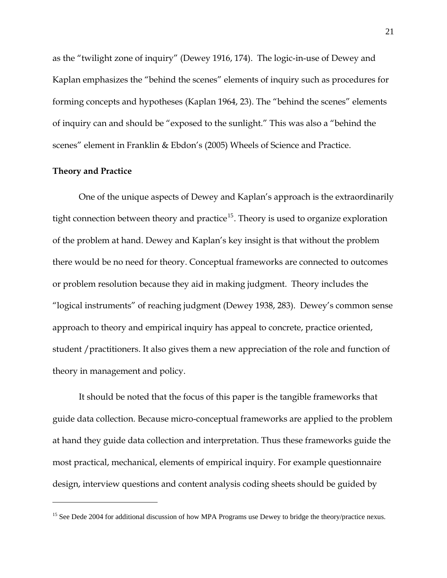as the "twilight zone of inquiry" (Dewey 1916, 174). The logic-in-use of Dewey and Kaplan emphasizes the "behind the scenes" elements of inquiry such as procedures for forming concepts and hypotheses (Kaplan 1964, 23). The "behind the scenes" elements of inquiry can and should be "exposed to the sunlight." This was also a "behind the scenes" element in Franklin & Ebdon's (2005) Wheels of Science and Practice.

## **Theory and Practice**

 $\overline{a}$ 

 One of the unique aspects of Dewey and Kaplan's approach is the extraordinarily tight connection between theory and practice<sup>[15](#page-20-0)</sup>. Theory is used to organize exploration of the problem at hand. Dewey and Kaplan's key insight is that without the problem there would be no need for theory. Conceptual frameworks are connected to outcomes or problem resolution because they aid in making judgment. Theory includes the "logical instruments" of reaching judgment (Dewey 1938, 283). Dewey's common sense approach to theory and empirical inquiry has appeal to concrete, practice oriented, student /practitioners. It also gives them a new appreciation of the role and function of theory in management and policy.

 It should be noted that the focus of this paper is the tangible frameworks that guide data collection. Because micro-conceptual frameworks are applied to the problem at hand they guide data collection and interpretation. Thus these frameworks guide the most practical, mechanical, elements of empirical inquiry. For example questionnaire design, interview questions and content analysis coding sheets should be guided by

<span id="page-20-0"></span><sup>&</sup>lt;sup>15</sup> See Dede 2004 for additional discussion of how MPA Programs use Dewey to bridge the theory/practice nexus.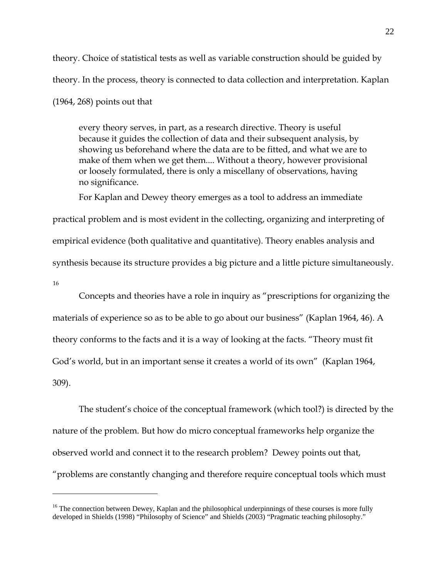theory. Choice of statistical tests as well as variable construction should be guided by theory. In the process, theory is connected to data collection and interpretation. Kaplan (1964, 268) points out that

every theory serves, in part, as a research directive. Theory is useful because it guides the collection of data and their subsequent analysis, by showing us beforehand where the data are to be fitted, and what we are to make of them when we get them.... Without a theory, however provisional or loosely formulated, there is only a miscellany of observations, having no significance.

For Kaplan and Dewey theory emerges as a tool to address an immediate

practical problem and is most evident in the collecting, organizing and interpreting of empirical evidence (both qualitative and quantitative). Theory enables analysis and synthesis because its structure provides a big picture and a little picture simultaneously. [16](#page-21-0)

 Concepts and theories have a role in inquiry as "prescriptions for organizing the materials of experience so as to be able to go about our business" (Kaplan 1964, 46). A theory conforms to the facts and it is a way of looking at the facts. "Theory must fit God's world, but in an important sense it creates a world of its own" (Kaplan 1964, 309).

 The student's choice of the conceptual framework (which tool?) is directed by the nature of the problem. But how do micro conceptual frameworks help organize the observed world and connect it to the research problem? Dewey points out that, "problems are constantly changing and therefore require conceptual tools which must

<span id="page-21-0"></span><sup>&</sup>lt;sup>16</sup> The connection between Dewey, Kaplan and the philosophical underpinnings of these courses is more fully developed in Shields (1998) "Philosophy of Science" and Shields (2003) "Pragmatic teaching philosophy."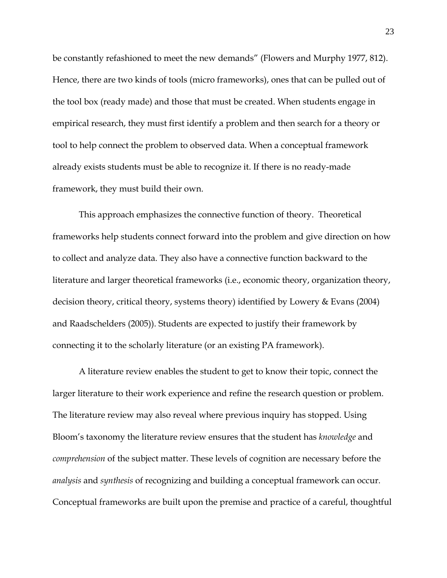be constantly refashioned to meet the new demands" (Flowers and Murphy 1977, 812). Hence, there are two kinds of tools (micro frameworks), ones that can be pulled out of the tool box (ready made) and those that must be created. When students engage in empirical research, they must first identify a problem and then search for a theory or tool to help connect the problem to observed data. When a conceptual framework already exists students must be able to recognize it. If there is no ready-made framework, they must build their own.

 This approach emphasizes the connective function of theory. Theoretical frameworks help students connect forward into the problem and give direction on how to collect and analyze data. They also have a connective function backward to the literature and larger theoretical frameworks (i.e., economic theory, organization theory, decision theory, critical theory, systems theory) identified by Lowery & Evans (2004) and Raadschelders (2005)). Students are expected to justify their framework by connecting it to the scholarly literature (or an existing PA framework).

 A literature review enables the student to get to know their topic, connect the larger literature to their work experience and refine the research question or problem. The literature review may also reveal where previous inquiry has stopped. Using Bloom's taxonomy the literature review ensures that the student has *knowledge* and *comprehension* of the subject matter. These levels of cognition are necessary before the *analysis* and *synthesis* of recognizing and building a conceptual framework can occur. Conceptual frameworks are built upon the premise and practice of a careful, thoughtful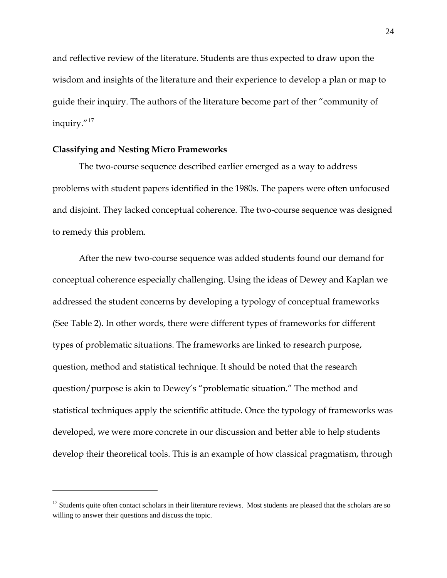and reflective review of the literature. Students are thus expected to draw upon the wisdom and insights of the literature and their experience to develop a plan or map to guide their inquiry. The authors of the literature become part of ther "community of inquiry."[17](#page-23-0)

#### **Classifying and Nesting Micro Frameworks**

 $\overline{a}$ 

The two-course sequence described earlier emerged as a way to address problems with student papers identified in the 1980s. The papers were often unfocused and disjoint. They lacked conceptual coherence. The two-course sequence was designed to remedy this problem.

After the new two-course sequence was added students found our demand for conceptual coherence especially challenging. Using the ideas of Dewey and Kaplan we addressed the student concerns by developing a typology of conceptual frameworks (See Table 2). In other words, there were different types of frameworks for different types of problematic situations. The frameworks are linked to research purpose, question, method and statistical technique. It should be noted that the research question/purpose is akin to Dewey's "problematic situation." The method and statistical techniques apply the scientific attitude. Once the typology of frameworks was developed, we were more concrete in our discussion and better able to help students develop their theoretical tools. This is an example of how classical pragmatism, through

<span id="page-23-0"></span><sup>&</sup>lt;sup>17</sup> Students quite often contact scholars in their literature reviews. Most students are pleased that the scholars are so willing to answer their questions and discuss the topic.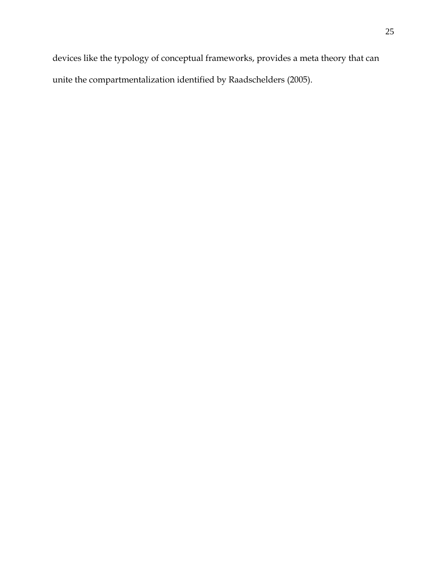devices like the typology of conceptual frameworks, provides a meta theory that can unite the compartmentalization identified by Raadschelders (2005).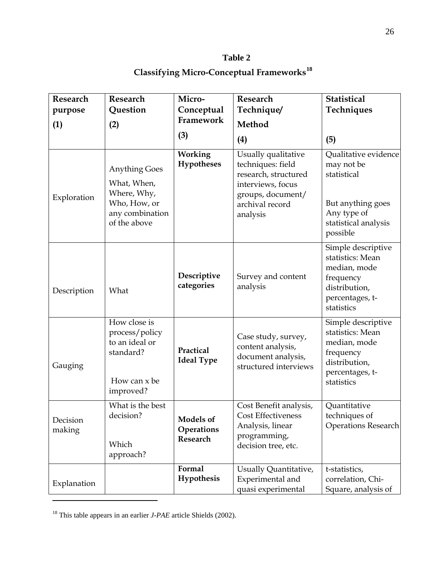## **Table 2**

# **Classifying Micro-Conceptual Frameworks[18](#page-25-0)**

| Research           | Research                                                                                              | Micro-                              | Research                                                                                                                                  | Statistical                                                                                                               |
|--------------------|-------------------------------------------------------------------------------------------------------|-------------------------------------|-------------------------------------------------------------------------------------------------------------------------------------------|---------------------------------------------------------------------------------------------------------------------------|
| purpose<br>(1)     | Question<br>(2)                                                                                       | Conceptual<br>Framework             | Technique/<br>Method                                                                                                                      | Techniques                                                                                                                |
|                    |                                                                                                       | (3)                                 | (4)                                                                                                                                       | (5)                                                                                                                       |
| Exploration        | <b>Anything Goes</b><br>What, When,<br>Where, Why,<br>Who, How, or<br>any combination<br>of the above | Working<br><b>Hypotheses</b>        | Usually qualitative<br>techniques: field<br>research, structured<br>interviews, focus<br>groups, document/<br>archival record<br>analysis | Qualitative evidence<br>may not be<br>statistical<br>But anything goes<br>Any type of<br>statistical analysis<br>possible |
| Description        | What                                                                                                  | Descriptive<br>categories           | Survey and content<br>analysis                                                                                                            | Simple descriptive<br>statistics: Mean<br>median, mode<br>frequency<br>distribution,<br>percentages, t-<br>statistics     |
| Gauging            | How close is<br>process/policy<br>to an ideal or<br>standard?<br>How can x be<br>improved?            | Practical<br><b>Ideal Type</b>      | Case study, survey,<br>content analysis,<br>document analysis,<br>structured interviews                                                   | Simple descriptive<br>statistics: Mean<br>median, mode<br>frequency<br>distribution,<br>percentages, t-<br>statistics     |
| Decision<br>making | What is the best<br>decision?<br>Which<br>approach?                                                   | Models of<br>Operations<br>Research | Cost Benefit analysis,<br><b>Cost Effectiveness</b><br>Analysis, linear<br>programming,<br>decision tree, etc.                            | Quantitative<br>techniques of<br><b>Operations Research</b>                                                               |
| Explanation        |                                                                                                       | Formal<br>Hypothesis                | Usually Quantitative,<br>Experimental and<br>quasi experimental                                                                           | t-statistics,<br>correlation, Chi-<br>Square, analysis of                                                                 |

<span id="page-25-0"></span><sup>18</sup> This table appears in an earlier *J-PAE* article Shields (2002).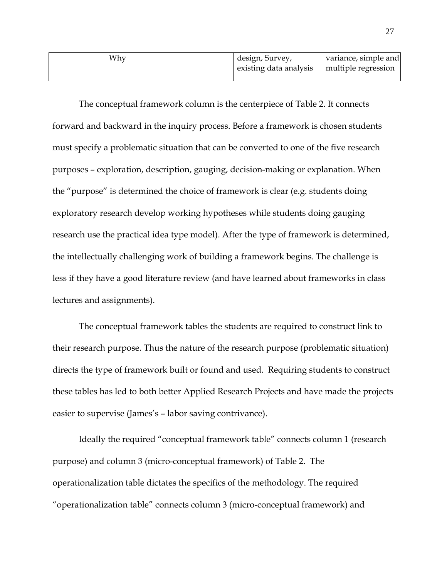| Why | design, Survey,        | variance, simple and |
|-----|------------------------|----------------------|
|     | existing data analysis | multiple regression  |
|     |                        |                      |

 The conceptual framework column is the centerpiece of Table 2. It connects forward and backward in the inquiry process. Before a framework is chosen students must specify a problematic situation that can be converted to one of the five research purposes – exploration, description, gauging, decision-making or explanation. When the "purpose" is determined the choice of framework is clear (e.g. students doing exploratory research develop working hypotheses while students doing gauging research use the practical idea type model). After the type of framework is determined, the intellectually challenging work of building a framework begins. The challenge is less if they have a good literature review (and have learned about frameworks in class lectures and assignments).

The conceptual framework tables the students are required to construct link to their research purpose. Thus the nature of the research purpose (problematic situation) directs the type of framework built or found and used. Requiring students to construct these tables has led to both better Applied Research Projects and have made the projects easier to supervise (James's – labor saving contrivance).

 Ideally the required "conceptual framework table" connects column 1 (research purpose) and column 3 (micro-conceptual framework) of Table 2. The operationalization table dictates the specifics of the methodology. The required "operationalization table" connects column 3 (micro-conceptual framework) and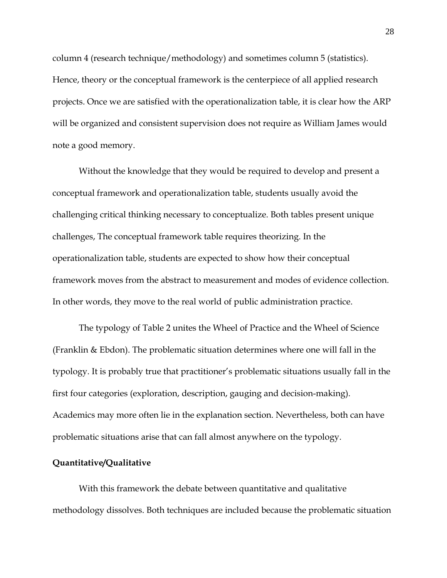column 4 (research technique/methodology) and sometimes column 5 (statistics). Hence, theory or the conceptual framework is the centerpiece of all applied research projects. Once we are satisfied with the operationalization table, it is clear how the ARP will be organized and consistent supervision does not require as William James would note a good memory.

 Without the knowledge that they would be required to develop and present a conceptual framework and operationalization table, students usually avoid the challenging critical thinking necessary to conceptualize. Both tables present unique challenges, The conceptual framework table requires theorizing. In the operationalization table, students are expected to show how their conceptual framework moves from the abstract to measurement and modes of evidence collection. In other words, they move to the real world of public administration practice.

The typology of Table 2 unites the Wheel of Practice and the Wheel of Science (Franklin & Ebdon). The problematic situation determines where one will fall in the typology. It is probably true that practitioner's problematic situations usually fall in the first four categories (exploration, description, gauging and decision-making). Academics may more often lie in the explanation section. Nevertheless, both can have problematic situations arise that can fall almost anywhere on the typology.

## **Quantitative/Qualitative**

With this framework the debate between quantitative and qualitative methodology dissolves. Both techniques are included because the problematic situation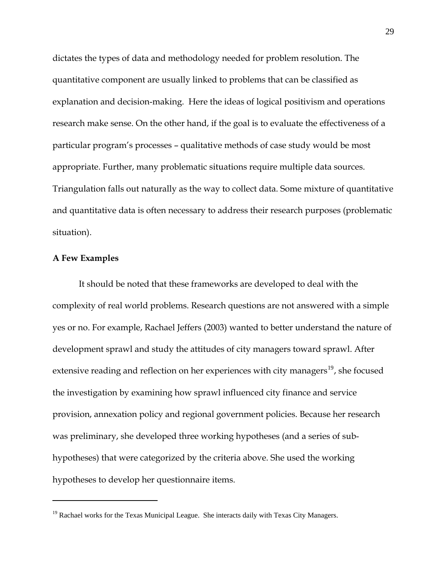dictates the types of data and methodology needed for problem resolution. The quantitative component are usually linked to problems that can be classified as explanation and decision-making. Here the ideas of logical positivism and operations research make sense. On the other hand, if the goal is to evaluate the effectiveness of a particular program's processes – qualitative methods of case study would be most appropriate. Further, many problematic situations require multiple data sources. Triangulation falls out naturally as the way to collect data. Some mixture of quantitative and quantitative data is often necessary to address their research purposes (problematic situation).

## **A Few Examples**

 $\overline{a}$ 

 It should be noted that these frameworks are developed to deal with the complexity of real world problems. Research questions are not answered with a simple yes or no. For example, Rachael Jeffers (2003) wanted to better understand the nature of development sprawl and study the attitudes of city managers toward sprawl. After extensive reading and reflection on her experiences with city managers<sup>[19](#page-28-0)</sup>, she focused the investigation by examining how sprawl influenced city finance and service provision, annexation policy and regional government policies. Because her research was preliminary, she developed three working hypotheses (and a series of subhypotheses) that were categorized by the criteria above. She used the working hypotheses to develop her questionnaire items.

<span id="page-28-0"></span><sup>&</sup>lt;sup>19</sup> Rachael works for the Texas Municipal League. She interacts daily with Texas City Managers.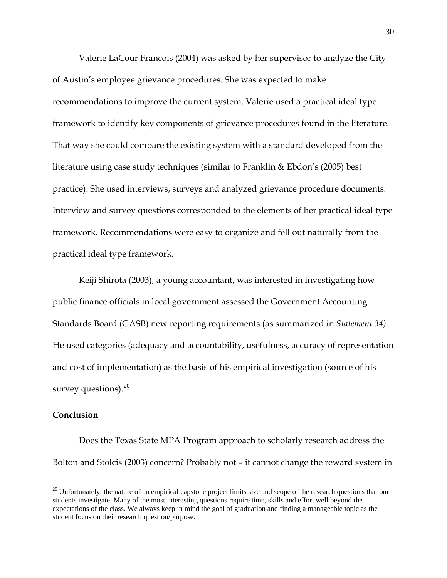Valerie LaCour Francois (2004) was asked by her supervisor to analyze the City of Austin's employee grievance procedures. She was expected to make recommendations to improve the current system. Valerie used a practical ideal type framework to identify key components of grievance procedures found in the literature. That way she could compare the existing system with a standard developed from the literature using case study techniques (similar to Franklin & Ebdon's (2005) best practice). She used interviews, surveys and analyzed grievance procedure documents. Interview and survey questions corresponded to the elements of her practical ideal type framework. Recommendations were easy to organize and fell out naturally from the practical ideal type framework.

Keiji Shirota (2003), a young accountant, was interested in investigating how public finance officials in local government assessed the Government Accounting Standards Board (GASB) new reporting requirements (as summarized in *Statement 34).* He used categories (adequacy and accountability, usefulness, accuracy of representation and cost of implementation) as the basis of his empirical investigation (source of his survey questions). $^{20}$  $^{20}$  $^{20}$ 

#### **Conclusion**

 $\overline{a}$ 

Does the Texas State MPA Program approach to scholarly research address the Bolton and Stolcis (2003) concern? Probably not – it cannot change the reward system in

<span id="page-29-0"></span> $20$  Unfortunately, the nature of an empirical capstone project limits size and scope of the research questions that our students investigate. Many of the most interesting questions require time, skills and effort well beyond the expectations of the class. We always keep in mind the goal of graduation and finding a manageable topic as the student focus on their research question/purpose.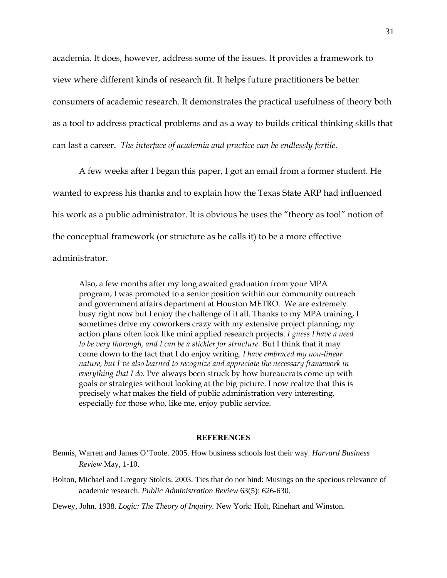academia. It does, however, address some of the issues. It provides a framework to view where different kinds of research fit. It helps future practitioners be better consumers of academic research. It demonstrates the practical usefulness of theory both as a tool to address practical problems and as a way to builds critical thinking skills that can last a career. *The interface of academia and practice can be endlessly fertile.* 

A few weeks after I began this paper, I got an email from a former student. He wanted to express his thanks and to explain how the Texas State ARP had influenced his work as a public administrator. It is obvious he uses the "theory as tool" notion of the conceptual framework (or structure as he calls it) to be a more effective administrator.

Also, a few months after my long awaited graduation from your MPA program, I was promoted to a senior position within our community outreach and government affairs department at Houston METRO. We are extremely busy right now but I enjoy the challenge of it all. Thanks to my MPA training, I sometimes drive my coworkers crazy with my extensive project planning; my action plans often look like mini applied research projects. *I guess I have a need to be very thorough, and I can be a stickler for structure.* But I think that it may come down to the fact that I do enjoy writing. *I have embraced my non-linear nature, but I've also learned to recognize and appreciate the necessary framework in everything that I do*. I've always been struck by how bureaucrats come up with goals or strategies without looking at the big picture. I now realize that this is precisely what makes the field of public administration very interesting, especially for those who, like me, enjoy public service.

#### **REFERENCES**

- Bennis, Warren and James O'Toole. 2005. How business schools lost their way. *Harvard Business Review* May, 1-10.
- Bolton, Michael and Gregory Stolcis. 2003. Ties that do not bind: Musings on the specious relevance of academic research. *Public Administration Review* 63(5): 626-630.

Dewey, John. 1938. *Logic: The Theory of Inquiry.* New York: Holt, Rinehart and Winston.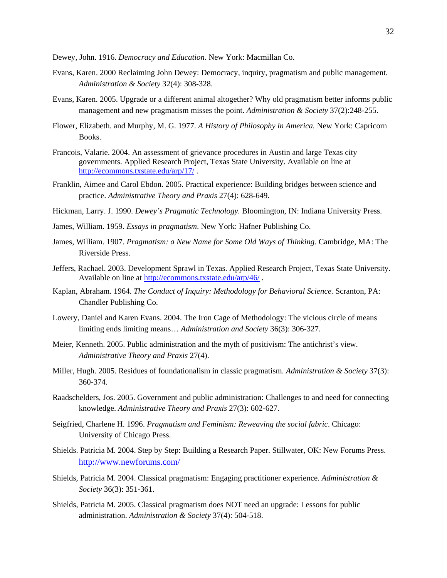Dewey, John. 1916. *Democracy and Education*. New York: Macmillan Co.

- Evans, Karen. 2000 Reclaiming John Dewey: Democracy, inquiry, pragmatism and public management. *Administration & Society* 32(4): 308-328.
- Evans, Karen. 2005. Upgrade or a different animal altogether? Why old pragmatism better informs public management and new pragmatism misses the point. *Administration & Society* 37(2):248-255.
- Flower, Elizabeth. and Murphy, M. G. 1977. *A History of Philosophy in America.* New York: Capricorn Books.
- Francois, Valarie. 2004. An assessment of grievance procedures in Austin and large Texas city governments. Applied Research Project, Texas State University. Available on line at <http://ecommons.txstate.edu/arp/17/> .
- Franklin, Aimee and Carol Ebdon. 2005. Practical experience: Building bridges between science and practice. *Administrative Theory and Praxis* 27(4): 628-649.

Hickman, Larry. J. 1990. *Dewey's Pragmatic Technology.* Bloomington, IN: Indiana University Press.

- James, William. 1959. *Essays in pragmatism*. New York: Hafner Publishing Co.
- James, William. 1907. *Pragmatism: a New Name for Some Old Ways of Thinking.* Cambridge, MA: The Riverside Press.
- Jeffers, Rachael. 2003. Development Sprawl in Texas. Applied Research Project, Texas State University. Available on line at http://ecommons.txstate.edu/arp/46/.
- Kaplan, Abraham. 1964. *The Conduct of Inquiry: Methodology for Behavioral Science.* Scranton, PA: Chandler Publishing Co.
- Lowery, Daniel and Karen Evans. 2004. The Iron Cage of Methodology: The vicious circle of means limiting ends limiting means… *Administration and Society* 36(3): 306-327.
- Meier, Kenneth. 2005. Public administration and the myth of positivism: The antichrist's view. *Administrative Theory and Praxis* 27(4).
- Miller, Hugh. 2005. Residues of foundationalism in classic pragmatism. *Administration & Society* 37(3): 360-374.
- Raadschelders, Jos. 2005. Government and public administration: Challenges to and need for connecting knowledge. *Administrative Theory and Praxis* 27(3): 602-627.
- Seigfried, Charlene H. 1996. *Pragmatism and Feminism: Reweaving the social fabric*. Chicago: University of Chicago Press.
- Shields. Patricia M. 2004. Step by Step: Building a Research Paper. Stillwater, OK: New Forums Press. <http://www.newforums.com/>
- Shields, Patricia M. 2004. Classical pragmatism: Engaging practitioner experience. *Administration & Society* 36(3): 351-361.
- Shields, Patricia M. 2005. Classical pragmatism does NOT need an upgrade: Lessons for public administration. *Administration & Society* 37(4): 504-518.